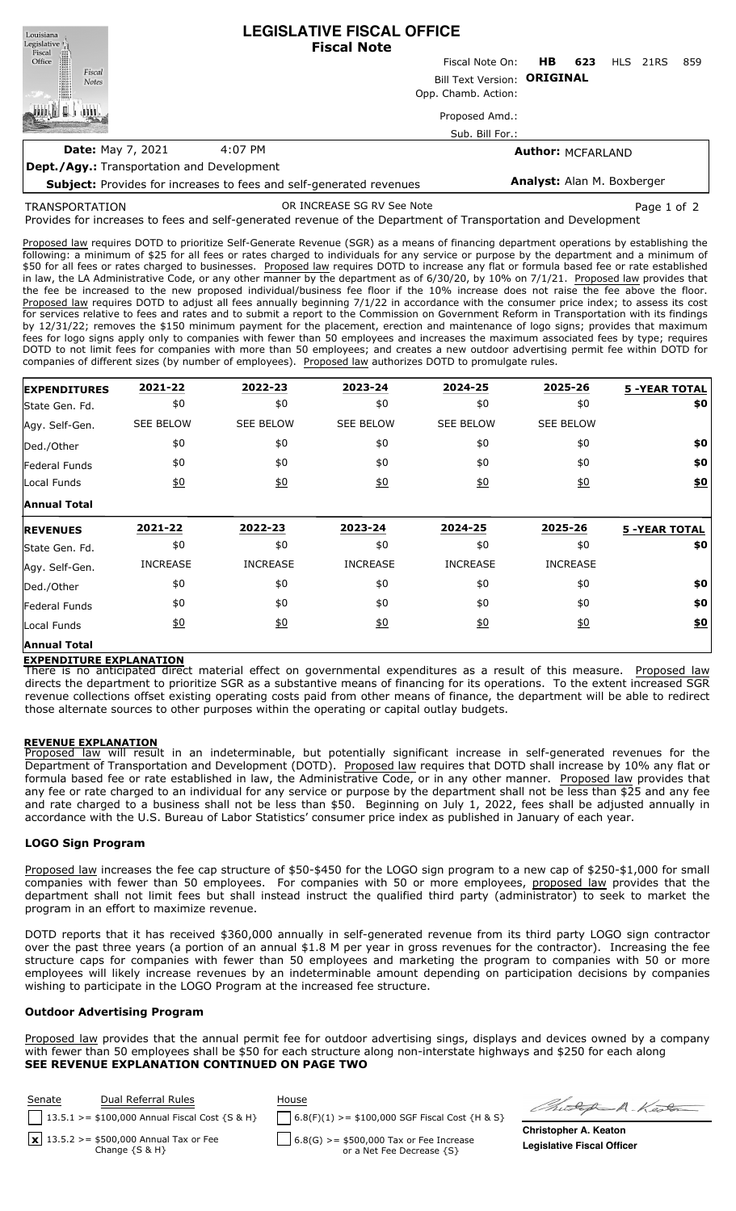**LEGISLATIVE FISCAL OFFICE** Louisiana Legislative  $\|\hspace{1pt}\|$ **Fiscal Note** Fiscal Office Fiscal Note On: **HB 623** HLS 21RS 859 Fiscal Bill Text Version: **ORIGINAL Notes** Opp. Chamb. Action: ini I **ATTIL** Proposed Amd.: Sub. Bill For.: **Date:** May 7, 2021 4:07 PM **Author:** MCFARLAND **Dept./Agy.:** Transportation and Development **Analyst:** Alan M. Boxberger

**Subject:** Provides for increases to fees and self-generated revenues

TRANSPORTATION

OR INCREASE SG RV See Note **Page 1** of 2

Provides for increases to fees and self-generated revenue of the Department of Transportation and Development

Proposed law requires DOTD to prioritize Self-Generate Revenue (SGR) as a means of financing department operations by establishing the following: a minimum of \$25 for all fees or rates charged to individuals for any service or purpose by the department and a minimum of \$50 for all fees or rates charged to businesses. Proposed law requires DOTD to increase any flat or formula based fee or rate established in law, the LA Administrative Code, or any other manner by the department as of 6/30/20, by 10% on 7/1/21. Proposed law provides that the fee be increased to the new proposed individual/business fee floor if the 10% increase does not raise the fee above the floor. Proposed law requires DOTD to adjust all fees annually beginning 7/1/22 in accordance with the consumer price index; to assess its cost for services relative to fees and rates and to submit a report to the Commission on Government Reform in Transportation with its findings by 12/31/22; removes the \$150 minimum payment for the placement, erection and maintenance of logo signs; provides that maximum fees for logo signs apply only to companies with fewer than 50 employees and increases the maximum associated fees by type; requires DOTD to not limit fees for companies with more than 50 employees; and creates a new outdoor advertising permit fee within DOTD for companies of different sizes (by number of employees). Proposed law authorizes DOTD to promulgate rules.

| <b>EXPENDITURES</b>   | 2021-22          | 2022-23          | 2023-24          | 2024-25           | 2025-26          | <b>5 -YEAR TOTAL</b> |
|-----------------------|------------------|------------------|------------------|-------------------|------------------|----------------------|
| State Gen. Fd.        | \$0              | \$0              | \$0              | \$0               | \$0              | \$0                  |
| Agy. Self-Gen.        | <b>SEE BELOW</b> | <b>SEE BELOW</b> | <b>SEE BELOW</b> | <b>SEE BELOW</b>  | <b>SEE BELOW</b> |                      |
| Ded./Other            | \$0              | \$0              | \$0              | \$0               | \$0              | \$0                  |
| <b>Federal Funds</b>  | \$0              | \$0              | \$0              | \$0               | \$0              | \$0                  |
| Local Funds           | $\underline{50}$ | 60               | 60               | $\underline{\$0}$ | $\underline{50}$ | \$0                  |
| <b>Annual Total</b>   |                  |                  |                  |                   |                  |                      |
| <b>REVENUES</b>       | 2021-22          | 2022-23          | 2023-24          | 2024-25           | 2025-26          | <b>5 -YEAR TOTAL</b> |
| <b>State Gen. Fd.</b> | \$0              | \$0              | \$0              | \$0               | \$0              | \$0                  |
|                       |                  |                  |                  |                   |                  |                      |
| Agy. Self-Gen.        | <b>INCREASE</b>  | <b>INCREASE</b>  | <b>INCREASE</b>  | <b>INCREASE</b>   | <b>INCREASE</b>  |                      |
| Ded./Other            | \$0              | \$0              | \$0              | \$0               | \$0              | \$0                  |
| Federal Funds         | \$0              | \$0              | \$0              | \$0               | \$0              | \$0                  |
| Local Funds           | <u>\$0</u>       | 60               | 60               | 60                | $\underline{50}$ | \$0                  |

# **EXPENDITURE EXPLANATION**

There is no anticipated direct material effect on governmental expenditures as a result of this measure. Proposed law directs the department to prioritize SGR as a substantive means of financing for its operations. To the extent increased SGR revenue collections offset existing operating costs paid from other means of finance, the department will be able to redirect those alternate sources to other purposes within the operating or capital outlay budgets.

### **REVENUE EXPLANATION**

Proposed law will result in an indeterminable, but potentially significant increase in self-generated revenues for the Department of Transportation and Development (DOTD). Proposed law requires that DOTD shall increase by 10% any flat or formula based fee or rate established in law, the Administrative Code, or in any other manner. Proposed law provides that any fee or rate charged to an individual for any service or purpose by the department shall not be less than \$25 and any fee and rate charged to a business shall not be less than \$50. Beginning on July 1, 2022, fees shall be adjusted annually in accordance with the U.S. Bureau of Labor Statistics' consumer price index as published in January of each year.

## **LOGO Sign Program**

Proposed law increases the fee cap structure of \$50-\$450 for the LOGO sign program to a new cap of \$250-\$1,000 for small companies with fewer than 50 employees. For companies with 50 or more employees, proposed law provides that the department shall not limit fees but shall instead instruct the qualified third party (administrator) to seek to market the program in an effort to maximize revenue.

DOTD reports that it has received \$360,000 annually in self-generated revenue from its third party LOGO sign contractor over the past three years (a portion of an annual \$1.8 M per year in gross revenues for the contractor). Increasing the fee structure caps for companies with fewer than 50 employees and marketing the program to companies with 50 or more employees will likely increase revenues by an indeterminable amount depending on participation decisions by companies wishing to participate in the LOGO Program at the increased fee structure.

## **Outdoor Advertising Program**

Proposed law provides that the annual permit fee for outdoor advertising sings, displays and devices owned by a company with fewer than 50 employees shall be \$50 for each structure along non-interstate highways and \$250 for each along **SEE REVENUE EXPLANATION CONTINUED ON PAGE TWO**

| Senate | Dual Referral Rules                                                   | House                                                                                 | Ø,                |
|--------|-----------------------------------------------------------------------|---------------------------------------------------------------------------------------|-------------------|
|        | 13.5.1 >= \$100,000 Annual Fiscal Cost $\{S \& H\}$                   | $6.8(F)(1)$ >= \$100,000 SGF Fiscal Cost {H & S}                                      |                   |
|        | $\sqrt{13.5.2}$ >= \$500,000 Annual Tax or Fee<br>Change $\{S \& H\}$ | $\begin{bmatrix} 6.8(G) >= $500,000$ Tax or Fee Increase<br>or a Net Fee Decrease {S} | Christ<br>Legisla |

hitsep A. Kedon

**Christopher A. Keaton Legislative Fiscal Officer**